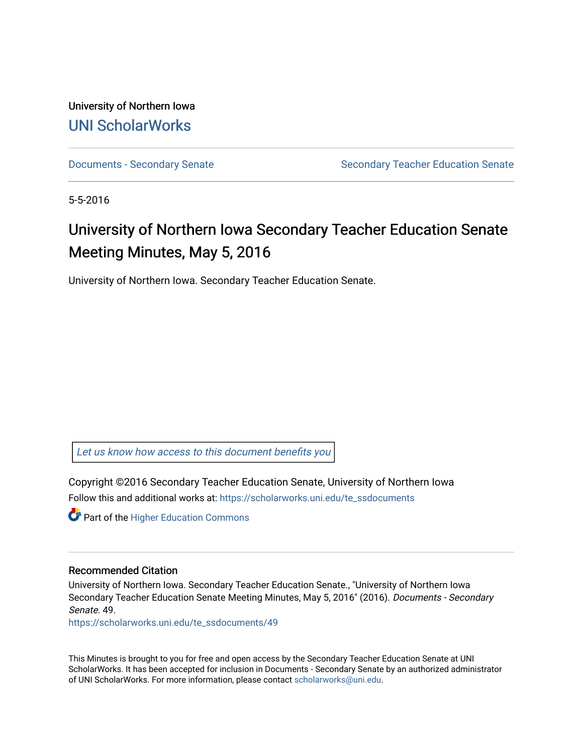University of Northern Iowa [UNI ScholarWorks](https://scholarworks.uni.edu/) 

[Documents - Secondary Senate](https://scholarworks.uni.edu/te_ssdocuments) Senate Secondary Teacher Education Senate

5-5-2016

# University of Northern Iowa Secondary Teacher Education Senate Meeting Minutes, May 5, 2016

University of Northern Iowa. Secondary Teacher Education Senate.

[Let us know how access to this document benefits you](https://scholarworks.uni.edu/feedback_form.html) 

Copyright ©2016 Secondary Teacher Education Senate, University of Northern Iowa Follow this and additional works at: [https://scholarworks.uni.edu/te\\_ssdocuments](https://scholarworks.uni.edu/te_ssdocuments?utm_source=scholarworks.uni.edu%2Fte_ssdocuments%2F49&utm_medium=PDF&utm_campaign=PDFCoverPages) 

**Part of the Higher Education Commons** 

#### Recommended Citation

University of Northern Iowa. Secondary Teacher Education Senate., "University of Northern Iowa Secondary Teacher Education Senate Meeting Minutes, May 5, 2016" (2016). Documents - Secondary Senate. 49.

[https://scholarworks.uni.edu/te\\_ssdocuments/49](https://scholarworks.uni.edu/te_ssdocuments/49?utm_source=scholarworks.uni.edu%2Fte_ssdocuments%2F49&utm_medium=PDF&utm_campaign=PDFCoverPages)

This Minutes is brought to you for free and open access by the Secondary Teacher Education Senate at UNI ScholarWorks. It has been accepted for inclusion in Documents - Secondary Senate by an authorized administrator of UNI ScholarWorks. For more information, please contact [scholarworks@uni.edu](mailto:scholarworks@uni.edu).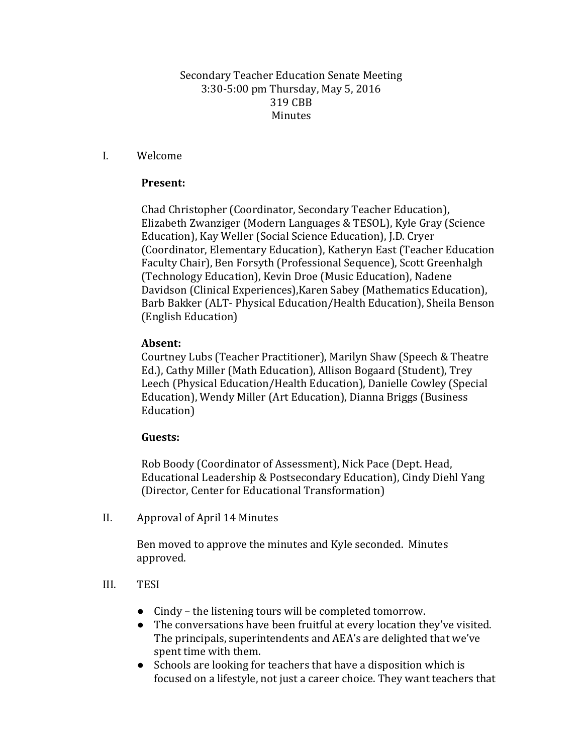### Secondary Teacher Education Senate Meeting 3:30-5:00 pm Thursday, May 5, 2016 319 CBB Minutes

### I. Welcome

### **Present:**

Chad Christopher (Coordinator, Secondary Teacher Education), Elizabeth Zwanziger (Modern Languages & TESOL), Kyle Gray (Science Education), Kay Weller (Social Science Education), J.D. Cryer (Coordinator, Elementary Education), Katheryn East (Teacher Education Faculty Chair), Ben Forsyth (Professional Sequence), Scott Greenhalgh (Technology Education), Kevin Droe (Music Education), Nadene Davidson (Clinical Experiences),Karen Sabey (Mathematics Education), Barb Bakker (ALT- Physical Education/Health Education), Sheila Benson (English Education)

### **Absent:**

Courtney Lubs (Teacher Practitioner), Marilyn Shaw (Speech & Theatre Ed.), Cathy Miller (Math Education), Allison Bogaard (Student), Trey Leech (Physical Education/Health Education), Danielle Cowley (Special Education), Wendy Miller (Art Education), Dianna Briggs (Business Education)

### **Guests:**

Rob Boody (Coordinator of Assessment), Nick Pace (Dept. Head, Educational Leadership & Postsecondary Education), Cindy Diehl Yang (Director, Center for Educational Transformation)

II. Approval of April 14 Minutes

Ben moved to approve the minutes and Kyle seconded. Minutes approved.

### III. TESI

- Cindy the listening tours will be completed tomorrow.
- The conversations have been fruitful at every location they've visited. The principals, superintendents and AEA's are delighted that we've spent time with them.
- Schools are looking for teachers that have a disposition which is focused on a lifestyle, not just a career choice. They want teachers that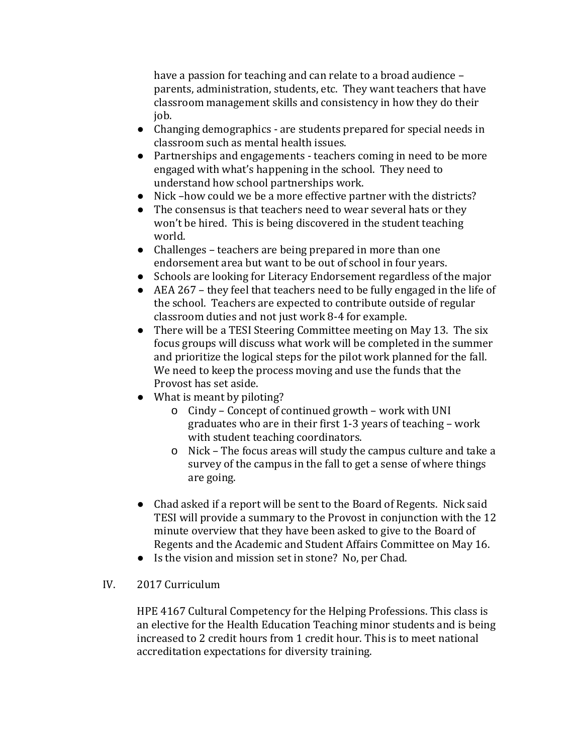have a passion for teaching and can relate to a broad audience – parents, administration, students, etc. They want teachers that have classroom management skills and consistency in how they do their job.

- Changing demographics are students prepared for special needs in classroom such as mental health issues.
- Partnerships and engagements teachers coming in need to be more engaged with what's happening in the school. They need to understand how school partnerships work.
- Nick –how could we be a more effective partner with the districts?
- The consensus is that teachers need to wear several hats or they won't be hired. This is being discovered in the student teaching world.
- Challenges teachers are being prepared in more than one endorsement area but want to be out of school in four years.
- Schools are looking for Literacy Endorsement regardless of the major
- AEA 267 they feel that teachers need to be fully engaged in the life of the school. Teachers are expected to contribute outside of regular classroom duties and not just work 8-4 for example.
- There will be a TESI Steering Committee meeting on May 13. The six focus groups will discuss what work will be completed in the summer and prioritize the logical steps for the pilot work planned for the fall. We need to keep the process moving and use the funds that the Provost has set aside.
- What is meant by piloting?
	- o Cindy Concept of continued growth work with UNI graduates who are in their first 1-3 years of teaching – work with student teaching coordinators.
	- o Nick The focus areas will study the campus culture and take a survey of the campus in the fall to get a sense of where things are going.
- Chad asked if a report will be sent to the Board of Regents. Nick said TESI will provide a summary to the Provost in conjunction with the 12 minute overview that they have been asked to give to the Board of Regents and the Academic and Student Affairs Committee on May 16.
- Is the vision and mission set in stone? No, per Chad.

# IV. 2017 Curriculum

HPE 4167 Cultural Competency for the Helping Professions. This class is an elective for the Health Education Teaching minor students and is being increased to 2 credit hours from 1 credit hour. This is to meet national accreditation expectations for diversity training.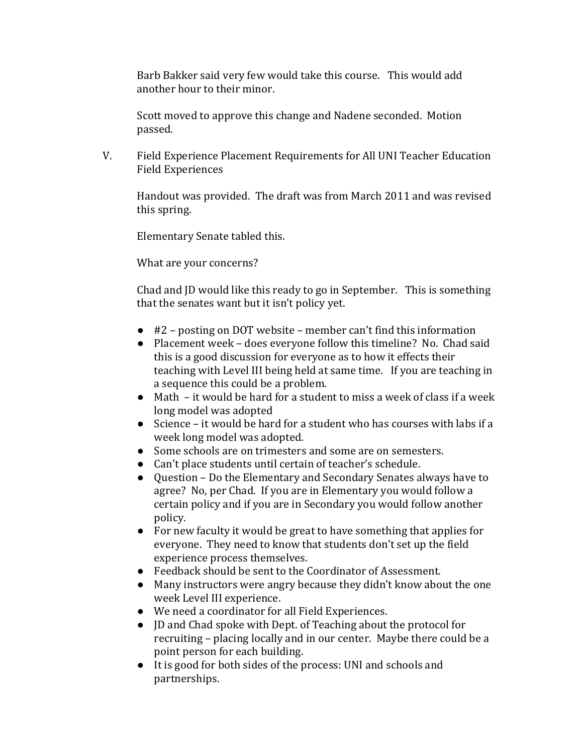Barb Bakker said very few would take this course. This would add another hour to their minor.

Scott moved to approve this change and Nadene seconded. Motion passed.

V. Field Experience Placement Requirements for All UNI Teacher Education Field Experiences

Handout was provided. The draft was from March 2011 and was revised this spring.

Elementary Senate tabled this.

What are your concerns?

Chad and JD would like this ready to go in September. This is something that the senates want but it isn't policy yet.

- #2 posting on DOT website member can't find this information
- Placement week does everyone follow this timeline? No. Chad said this is a good discussion for everyone as to how it effects their teaching with Level III being held at same time. If you are teaching in a sequence this could be a problem.
- Math it would be hard for a student to miss a week of class if a week long model was adopted
- Science it would be hard for a student who has courses with labs if a week long model was adopted.
- Some schools are on trimesters and some are on semesters.
- Can't place students until certain of teacher's schedule.<br>● Ouestion Do the Elementary and Secondary Senates a
- Question Do the Elementary and Secondary Senates always have to agree? No, per Chad. If you are in Elementary you would follow a certain policy and if you are in Secondary you would follow another policy.
- For new faculty it would be great to have something that applies for everyone. They need to know that students don't set up the field experience process themselves.
- Feedback should be sent to the Coordinator of Assessment.
- Many instructors were angry because they didn't know about the one week Level III experience.
- We need a coordinator for all Field Experiences.
- JD and Chad spoke with Dept. of Teaching about the protocol for recruiting – placing locally and in our center. Maybe there could be a point person for each building.
- It is good for both sides of the process: UNI and schools and partnerships.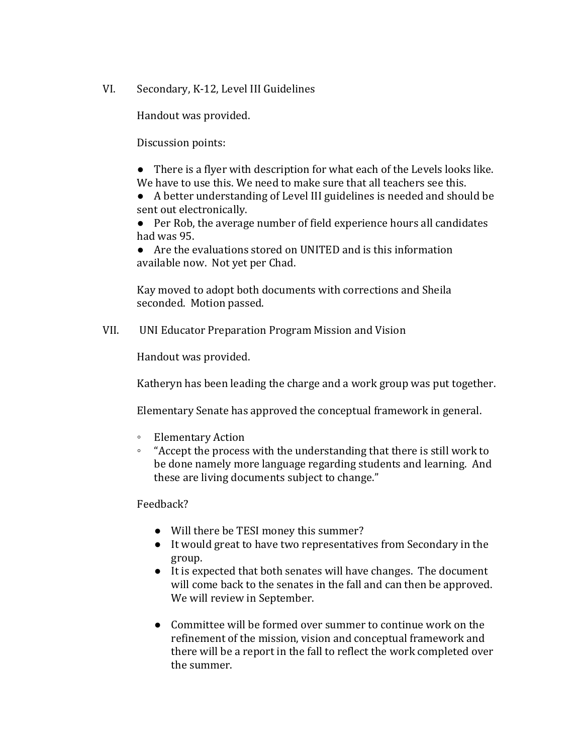VI. Secondary, K-12, Level III Guidelines

Handout was provided.

Discussion points:

● There is a flyer with description for what each of the Levels looks like. We have to use this. We need to make sure that all teachers see this.

● A better understanding of Level III guidelines is needed and should be sent out electronically.

● Per Rob, the average number of field experience hours all candidates had was 95.

● Are the evaluations stored on UNITED and is this information available now. Not yet per Chad.

Kay moved to adopt both documents with corrections and Sheila seconded. Motion passed.

VII. UNI Educator Preparation Program Mission and Vision

Handout was provided.

Katheryn has been leading the charge and a work group was put together.

Elementary Senate has approved the conceptual framework in general.

- Elementary Action
- "Accept the process with the understanding that there is still work to be done namely more language regarding students and learning. And these are living documents subject to change."

Feedback?

- Will there be TESI money this summer?
- It would great to have two representatives from Secondary in the group.
- It is expected that both senates will have changes. The document will come back to the senates in the fall and can then be approved. We will review in September.
- Committee will be formed over summer to continue work on the refinement of the mission, vision and conceptual framework and there will be a report in the fall to reflect the work completed over the summer.